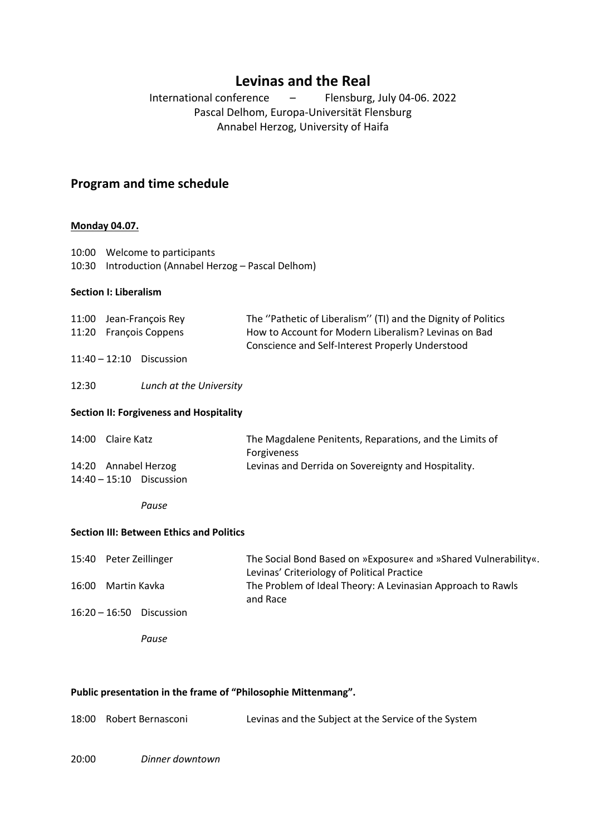# **Levinas and the Real**

International conference – Flensburg, July 04-06. 2022 Pascal Delhom, Europa-Universität Flensburg Annabel Herzog, University of Haifa

## **Program and time schedule**

#### **Monday 04.07.**

| 10:00 Welcome to participants                       |
|-----------------------------------------------------|
| 10:30 Introduction (Annabel Herzog – Pascal Delhom) |

#### **Section I: Liberalism**

| 11:00 Jean-François Rey    | The "Pathetic of Liberalism" (TI) and the Dignity of Politics |
|----------------------------|---------------------------------------------------------------|
| 11:20 Francois Coppens     | How to Account for Modern Liberalism? Levinas on Bad          |
|                            | Conscience and Self-Interest Properly Understood              |
| $11:40 - 12:10$ Discussion |                                                               |

12:30 *Lunch at the University*

#### **Section II: Forgiveness and Hospitality**

| 14:00 | Claire Katz                | The Magdalene Penitents, Reparations, and the Limits of |
|-------|----------------------------|---------------------------------------------------------|
|       |                            | <b>Forgiveness</b>                                      |
|       | 14:20 Annabel Herzog       | Levinas and Derrida on Sovereignty and Hospitality.     |
|       | $14:40 - 15:10$ Discussion |                                                         |

*Pause*

#### **Section III: Between Ethics and Politics**

|       | 15:40 Peter Zeillinger     | The Social Bond Based on »Exposure« and »Shared Vulnerability«. |
|-------|----------------------------|-----------------------------------------------------------------|
|       |                            | Levinas' Criteriology of Political Practice                     |
| 16:00 | Martin Kavka               | The Problem of Ideal Theory: A Levinasian Approach to Rawls     |
|       |                            | and Race                                                        |
|       | $16:20 - 16:50$ Discussion |                                                                 |
|       |                            |                                                                 |

*Pause*

#### **Public presentation in the frame of "Philosophie Mittenmang".**

18:00 Robert Bernasconi Levinas and the Subject at the Service of the System

20:00 *Dinner downtown*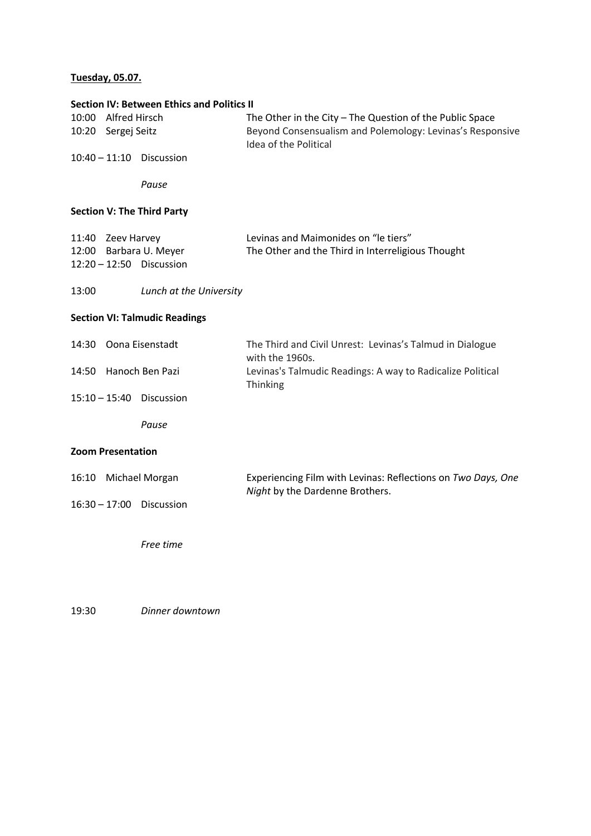# **Tuesday, 05.07.**

|                          | 10:00 Alfred Hirsch | <b>Section IV: Between Ethics and Politics II</b> | The Other in the City - The Question of the Public Space                                        |  |
|--------------------------|---------------------|---------------------------------------------------|-------------------------------------------------------------------------------------------------|--|
|                          | 10:20 Sergej Seitz  |                                                   | Beyond Consensualism and Polemology: Levinas's Responsive<br>Idea of the Political              |  |
|                          |                     | 10:40 - 11:10 Discussion                          |                                                                                                 |  |
|                          |                     | Pause                                             |                                                                                                 |  |
|                          |                     | <b>Section V: The Third Party</b>                 |                                                                                                 |  |
|                          | 11:40 Zeev Harvey   |                                                   | Levinas and Maimonides on "le tiers"                                                            |  |
|                          |                     | 12:00 Barbara U. Meyer                            | The Other and the Third in Interreligious Thought                                               |  |
|                          |                     | 12:20 - 12:50 Discussion                          |                                                                                                 |  |
| 13:00                    |                     | Lunch at the University                           |                                                                                                 |  |
|                          |                     | <b>Section VI: Talmudic Readings</b>              |                                                                                                 |  |
| 14:30                    |                     | Oona Eisenstadt                                   | The Third and Civil Unrest: Levinas's Talmud in Dialogue<br>with the 1960s.                     |  |
|                          |                     | 14:50 Hanoch Ben Pazi                             | Levinas's Talmudic Readings: A way to Radicalize Political<br>Thinking                          |  |
|                          |                     | 15:10 - 15:40 Discussion                          |                                                                                                 |  |
|                          |                     | Pause                                             |                                                                                                 |  |
| <b>Zoom Presentation</b> |                     |                                                   |                                                                                                 |  |
|                          |                     | 16:10 Michael Morgan                              | Experiencing Film with Levinas: Reflections on Two Days, One<br>Night by the Dardenne Brothers. |  |
| 16:30 - 17:00 Discussion |                     |                                                   |                                                                                                 |  |
|                          |                     | Free time                                         |                                                                                                 |  |
|                          |                     |                                                   |                                                                                                 |  |

19:30 *Dinner downtown*